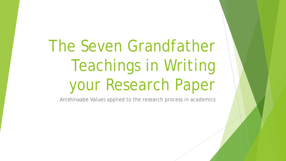# The Seven Grandfather Teachings in Writing your Research Paper

Anishinaabe Values applied to the research process in academics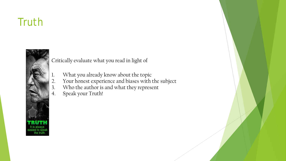## **Truth**



Critically evaluate what you read in light of

- 1. What you already know about the topic
- 2. Your honest experience and biases with the subject
- 3. Who the author is and what they represent
- 4. Speak your Truth!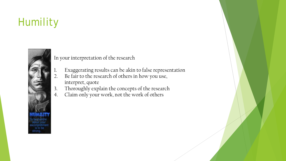# Humility



In your interpretation of the research

- 1. Exaggerating results can be akin to false representation
- 2. Be fair to the research of others in how you use, interpret, quote
- 3. Thoroughly explain the concepts of the research
- 4. Claim only your work, not the work of others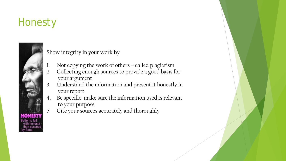## **Honesty**



Show integrity in your work by

- 1. Not copying the work of others called plagiarism
- 2. Collecting enough sources to provide a good basis for your argument
- 3. Understand the information and present it honestly in your report
- 4. Be specific, make sure the information used is relevant to your purpose
- 5. Cite your sources accurately and thoroughly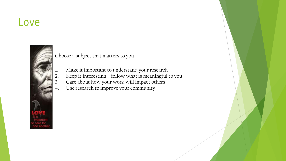#### Love



Choose a subject that matters to you

- Make it important to understand your research
- 2. Keep it interesting follow what is meaningful to you
- 3. Care about how your work will impact others
- 4. Use research to improve your community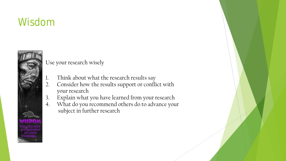## Wisdom



Use your research wisely

- 1. Think about what the research results say
- 2. Consider how the results support or conflict with your research
- 3. Explain what you have learned from your research
- 4. What do you recommend others do to advance your subject in further research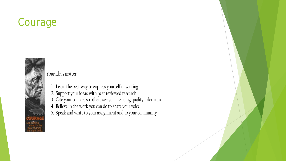## Courage



Your ideas matter

- 1. Learn the best way to express yourself in writing
- 2. Support your ideas with peer reviewed research
- 3. Cite your sources so others see you are using quality information
- 4. Believe in the work you can do to share your voice
- 5. Speak and write to your assignment and to your community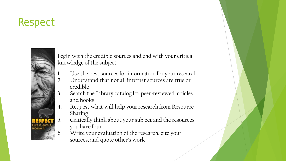## Respect



Begin with the credible sources and end with your critical knowledge of the subject

- 1. Use the best sources for information for your research
- 2. Understand that not all internet sources are true or credible
- 3. Search the Library catalog for peer-reviewed articles and books
- 4. Request what will help your research from Resource Sharing
- 5. Critically think about your subject and the resources you have found
- 6. Write your evaluation of the research, cite your sources, and quote other's work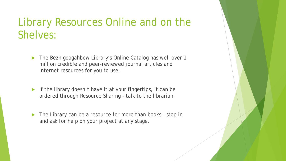## Library Resources Online and on the Shelves:

- ▶ The Bezhigoogahbow Library's Online Catalog has well over 1 million credible and peer-reviewed journal articles and internet resources for you to use.
- If the library doesn't have it at your fingertips, it can be ordered through Resource Sharing – talk to the librarian.
- ▶ The Library can be a resource for more than books stop in and ask for help on your project at any stage.